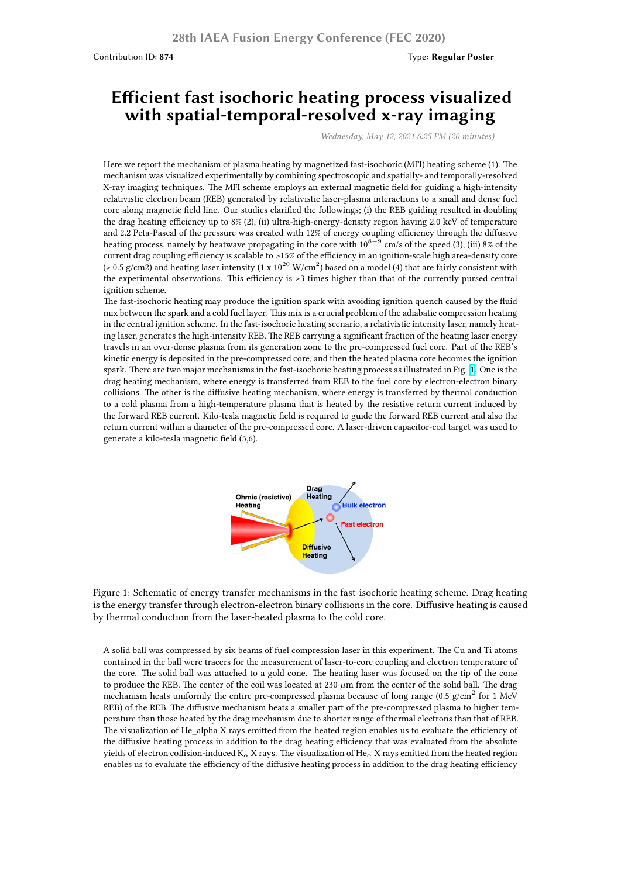## **Efficient fast isochoric heating process visualized with spatial-temporal-resolved x-ray imaging**

*Wednesday, May 12, 2021 6:25 PM (20 minutes)*

Here we report the mechanism of plasma heating by magnetized fast-isochoric (MFI) heating scheme (1). The mechanism was visualized experimentally by combining spectroscopic and spatially- and temporally-resolved X-ray imaging techniques. The MFI scheme employs an external magnetic field for guiding a high-intensity relativistic electron beam (REB) generated by relativistic laser-plasma interactions to a small and dense fuel core along magnetic field line. Our studies clarified the followings; (i) the REB guiding resulted in doubling the drag heating efficiency up to 8% (2), (ii) ultra-high-energy-density region having 2.0 keV of temperature and 2.2 Peta-Pascal of the pressure was created with 12% of energy coupling efficiency through the diffusive heating process, namely by heatwave propagating in the core with 10<sup>8</sup>*−*<sup>9</sup> cm/s of the speed (3), (iii) 8% of the current drag coupling efficiency is scalable to >15% of the efficiency in an ignition-scale high area-density core (> 0.5 g/cm2) and heating laser intensity (1 x 10<sup>20</sup> W/cm<sup>2</sup>) based on a model (4) that are fairly consistent with the experimental observations. This efficiency is >3 times higher than that of the currently pursed central ignition scheme.

The fast-isochoric heating may produce the ignition spark with avoiding ignition quench caused by the fluid mix between the spark and a cold fuel layer. This mix is a crucial problem of the adiabatic compression heating in the central ignition scheme. In the fast-isochoric heating scenario, a relativistic intensity laser, namely heating laser, generates the high-intensity REB. The REB carrying a significant fraction of the heating laser energy travels in an over-dense plasma from its generation zone to the pre-compressed fuel core. Part of the REB's kinetic energy is deposited in the pre-compressed core, and then the heated plasma core becomes the ignition spark. There are two major mechanisms in the fast-isochoric heating process as illustrated in Fig. 1. One is the drag heating mechanism, where energy is transferred from REB to the fuel core by electron-electron binary collisions. The other is the diffusive heating mechanism, where energy is transferred by thermal conduction to a cold plasma from a high-temperature plasma that is heated by the resistive return current induced by the forward REB current. Kilo-tesla magnetic field is required to guide the forward REB current and also the return current within a diameter of the pre-compressed core. A laser-driven capacitor-coil targe[t w](https://workshop.nifs.ac.jp/fec2020/image/47-Fujioka-image-fig_1.jpg)as used to generate a kilo-tesla magnetic field (5,6).



Figure 1: Schematic of energy transfer mechanisms in the fast-isochoric heating scheme. Drag heating is the energy transfer through electron-electron binary collisions in the core. Diffusive heating is caused by thermal conduction from the laser-heated plasma to the cold core.

A solid ball was compressed by six beams of fuel compression laser in this experiment. The Cu and Ti atoms contained in the ball were tracers for the measurement of laser-to-core coupling and electron temperature of the core. The solid ball was attached to a gold cone. The heating laser was focused on the tip of the cone to produce the REB. The center of the coil was located at 230  $\mu$ m from the center of the solid ball. The drag mechanism heats uniformly the entire pre-compressed plasma because of long range (0.5  $g/cm<sup>2</sup>$  for 1 MeV REB) of the REB. The diffusive mechanism heats a smaller part of the pre-compressed plasma to higher temperature than those heated by the drag mechanism due to shorter range of thermal electrons than that of REB. The visualization of He\_alpha X rays emitted from the heated region enables us to evaluate the efficiency of the diffusive heating process in addition to the drag heating efficiency that was evaluated from the absolute yields of electron collision-induced K*<sup>α</sup>* X rays. The visualization of He*<sup>α</sup>* X rays emitted from the heated region enables us to evaluate the efficiency of the diffusive heating process in addition to the drag heating efficiency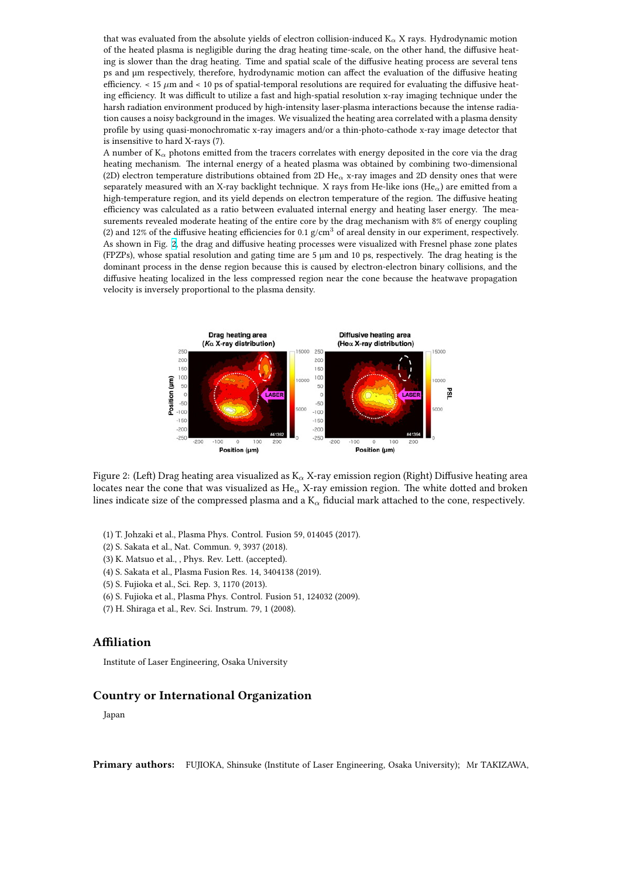of the heated plasma is negligible during the drag heating time-scale, on the other hand, the diffusive heating is slower than the drag heating. Time and spatial scale of the diffusive heating process are several tens ps and µm respectively, therefore, hydrodynamic motion can affect the evaluation of the diffusive heating efficiency.  $<$  15  $\mu$ m and  $<$  10 ps of spatial-temporal resolutions are required for evaluating the diffusive heating efficiency. It was difficult to utilize a fast and high-spatial resolution x-ray imaging technique under the harsh radiation environment produced by high-intensity laser-plasma interactions because the intense radiation causes a noisy background in the images. We visualized the heating area correlated with a plasma density profile by using quasi-monochromatic x-ray imagers and/or a thin-photo-cathode x-ray image detector that is insensitive to hard X-rays (7).

A number of K*<sup>α</sup>* photons emitted from the tracers correlates with energy deposited in the core via the drag heating mechanism. The internal energy of a heated plasma was obtained by combining two-dimensional (2D) electron temperature distributions obtained from 2D He*<sup>α</sup>* x-ray images and 2D density ones that were separately measured with an X-ray backlight technique. X rays from He-like ions (He*α*) are emitted from a high-temperature region, and its yield depends on electron temperature of the region. The diffusive heating efficiency was calculated as a ratio between evaluated internal energy and heating laser energy. The measurements revealed moderate heating of the entire core by the drag mechanism with 8% of energy coupling (2) and 12% of the diffusive heating efficiencies for 0.1  $g/cm<sup>3</sup>$  of areal density in our experiment, respectively. As shown in Fig. 2, the drag and diffusive heating processes were visualized with Fresnel phase zone plates (FPZPs), whose spatial resolution and gating time are 5 µm and 10 ps, respectively. The drag heating is the dominant process in the dense region because this is caused by electron-electron binary collisions, and the diffusive heating localized in the less compressed region near the cone because the heatwave propagation velocity is invers[ely](https://workshop.nifs.ac.jp/fec2020/image/47-Fujioka-image-fig_2.jpg) proportional to the plasma density.



Figure 2: (Left) Drag heating area visualized as K*<sup>α</sup>* X-ray emission region (Right) Diffusive heating area locates near the cone that was visualized as He*<sup>α</sup>* X-ray emission region. The white dotted and broken lines indicate size of the compressed plasma and a K*<sup>α</sup>* fiducial mark attached to the cone, respectively.

- (1) T. Johzaki et al., Plasma Phys. Control. Fusion 59, 014045 (2017).
- (2) S. Sakata et al., Nat. Commun. 9, 3937 (2018).
- (3) K. Matsuo et al., , Phys. Rev. Lett. (accepted).
- (4) S. Sakata et al., Plasma Fusion Res. 14, 3404138 (2019).
- (5) S. Fujioka et al., Sci. Rep. 3, 1170 (2013).
- (6) S. Fujioka et al., Plasma Phys. Control. Fusion 51, 124032 (2009).
- (7) H. Shiraga et al., Rev. Sci. Instrum. 79, 1 (2008).

## **Affiliation**

Institute of Laser Engineering, Osaka University

## **Country or International Organization**

Japan

**Primary authors:** FUJIOKA, Shinsuke (Institute of Laser Engineering, Osaka University); Mr TAKIZAWA,